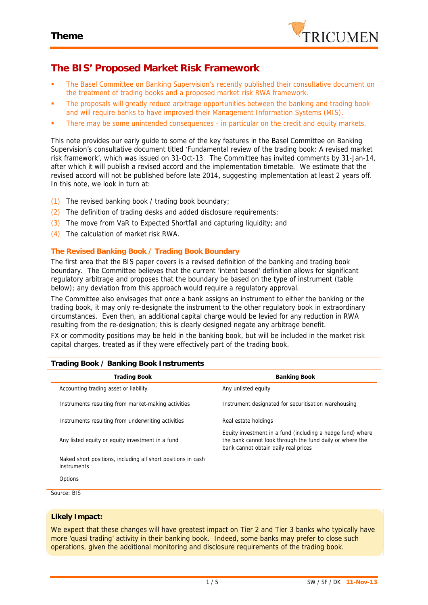

# **The BIS' Proposed Market Risk Framework**

- The Basel Committee on Banking Supervision's recently published their consultative document on the treatment of trading books and a proposed market risk RWA framework.
- The proposals will greatly reduce arbitrage opportunities between the banking and trading book and will require banks to have improved their Management Information Systems (MIS).
- There may be some unintended consequences in particular on the credit and equity markets.

This note provides our early guide to some of the key features in the Basel Committee on Banking Supervision's consultative document titled 'Fundamental review of the trading book: A revised market risk framework', which was issued on 31-Oct-13. The Committee has invited comments by 31-Jan-14, after which it will publish a revised accord and the implementation timetable. We estimate that the revised accord will not be published before late 2014, suggesting implementation at least 2 years off. In this note, we look in turn at:

- (1) The revised banking book / trading book boundary;
- (2) The definition of trading desks and added disclosure requirements;
- (3) The move from VaR to Expected Shortfall and capturing liquidity; and
- (4) The calculation of market risk RWA.

## **The Revised Banking Book / Trading Book Boundary**

The first area that the BIS paper covers is a revised definition of the banking and trading book boundary. The Committee believes that the current 'intent based' definition allows for significant regulatory arbitrage and proposes that the boundary be based on the type of instrument (table below); any deviation from this approach would require a regulatory approval.

The Committee also envisages that once a bank assigns an instrument to either the banking or the trading book, it may only re-designate the instrument to the other regulatory book in extraordinary circumstances. Even then, an additional capital charge would be levied for any reduction in RWA resulting from the re-designation; this is clearly designed negate any arbitrage benefit.

FX or commodity positions may be held in the banking book, but will be included in the market risk capital charges, treated as if they were effectively part of the trading book.

| <b>Trading Book</b>                                                         | <b>Banking Book</b>                                                                                                                                            |
|-----------------------------------------------------------------------------|----------------------------------------------------------------------------------------------------------------------------------------------------------------|
| Accounting trading asset or liability                                       | Any unlisted equity                                                                                                                                            |
| Instruments resulting from market-making activities                         | Instrument designated for securitisation warehousing                                                                                                           |
| Instruments resulting from underwriting activities                          | Real estate holdings                                                                                                                                           |
| Any listed equity or equity investment in a fund                            | Equity investment in a fund (including a hedge fund) where<br>the bank cannot look through the fund daily or where the<br>bank cannot obtain daily real prices |
| Naked short positions, including all short positions in cash<br>instruments |                                                                                                                                                                |
| Options                                                                     |                                                                                                                                                                |
| Source: BIS                                                                 |                                                                                                                                                                |

### **Trading Book / Banking Book Instruments**

## **Likely Impact:**

We expect that these changes will have greatest impact on Tier 2 and Tier 3 banks who typically have more 'quasi trading' activity in their banking book. Indeed, some banks may prefer to close such operations, given the additional monitoring and disclosure requirements of the trading book.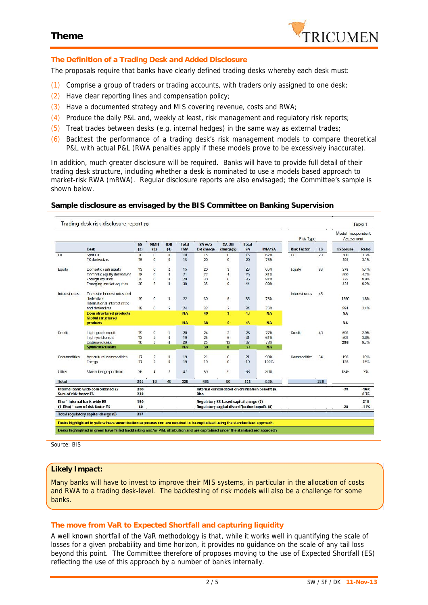

## **The Definition of a Trading Desk and Added Disclosure**

The proposals require that banks have clearly defined trading desks whereby each desk must:

- (1) Comprise a group of traders or trading accounts, with traders only assigned to one desk;
- (2) Have clear reporting lines and compensation policy;
- (3) Have a documented strategy and MIS covering revenue, costs and RWA;
- (4) Produce the daily P&L and, weekly at least, risk management and regulatory risk reports;
- (5) Treat trades between desks (e.g. internal hedges) in the same way as external trades;
- (6) Backtest the performance of a trading desk's risk management models to compare theoretical P&L with actual P&L (RWA penalties apply if these models prove to be excessively inaccurate).

In addition, much greater disclosure will be required. Banks will have to provide full detail of their trading desk structure, including whether a desk is nominated to use a models based approach to market-risk RWA (mRWA). Regular disclosure reports are also envisaged; the Committee's sample is shown below.

#### **Sample disclosure as envisaged by the BIS Committee on Banking Supervision**

|                                                                                            | Trading desk risk disclosure report (1)                                                                                        |                |                                     |                                     |                                                                                               |                      |                                                     |                                  |                                |                    |                   |                                 | Table 1              |
|--------------------------------------------------------------------------------------------|--------------------------------------------------------------------------------------------------------------------------------|----------------|-------------------------------------|-------------------------------------|-----------------------------------------------------------------------------------------------|----------------------|-----------------------------------------------------|----------------------------------|--------------------------------|--------------------|-------------------|---------------------------------|----------------------|
|                                                                                            |                                                                                                                                |                |                                     |                                     |                                                                                               |                      |                                                     |                                  |                                | <b>Risk Type</b>   |                   | Model Independent<br>Assessment |                      |
|                                                                                            | <b>Desk</b>                                                                                                                    | ES<br>(2)      | <b>NMR</b><br>$(3)$                 | <b>IDR</b><br>(4)                   | <b>Total</b><br><b>IMA</b>                                                                    | SA w/o<br>DR charge  | <b>SADR</b><br>charge(5)                            | <b>Total</b><br><b>SA</b>        | <b>IMA/SA</b>                  | <b>Risk Factor</b> | <b>ES</b>         | Exposure                        | Ratio                |
| $+X$                                                                                       | $SDot$ FX<br>FX derivatives                                                                                                    | 10<br>15       | $\mathbf{U}$<br>$\mathbf C$         | $\sigma$<br>$\circ$                 | 10<br>15                                                                                      | 15<br>20             | U<br>$\bf{0}$                                       | 1 <sub>5</sub><br>20             | 67%<br>75%                     | $+X$               | 28                | 300<br>185                      | 3.3%<br>3.1%         |
| Equity                                                                                     | Domestic cash equity<br>Domestic equity derivatives<br>Foreign equities                                                        | 13<br>18<br>25 | 0<br>$\Omega$<br>Ü                  | 2<br>3<br>4                         | 15<br>21<br>29                                                                                | 20<br>22<br><b>W</b> | 3<br>4<br>6                                         | 23<br>25<br>36                   | 65%<br>81%<br>81%              | Equity             | 83                | 278<br>500<br>325               | 5.4%<br>4.7%<br>8.9% |
| Interest rates                                                                             | Emerging market equities<br>Domestic interest rates and                                                                        | 28             | 3                                   | В                                   | 39                                                                                            | 35                   | $\overline{9}$                                      | 14                               | 89%                            | Interest rates     | 45                | 123                             | 9.2%                 |
| derivatives<br>International interest rates<br>and derivatives<br><b>Global structured</b> | 19                                                                                                                             | 0              | 3                                   | 77                                  | 30                                                                                            | $\overline{5}$       | 35                                                  | 73%                              |                                |                    | 1250              | 1.R%                            |                      |
|                                                                                            | <b>Dom structured products</b>                                                                                                 | 19             | $\mathbf C$                         | 5                                   | 24<br><b>NA</b>                                                                               | 32<br>40             | $\overline{c}$<br>$\overline{\mathbf{3}}$           | 34<br>43                         | 75%<br><b>NA</b>               |                    |                   | 984<br><b>NA</b>                | 2.4%                 |
|                                                                                            | <b>products</b>                                                                                                                |                |                                     |                                     | <b>NA</b>                                                                                     | 38                   | 5                                                   | 43                               | <b>NA</b>                      |                    |                   | NА                              |                      |
| Credit                                                                                     | High grade credit<br>I ligh-vield credit<br>Distressed debt<br><b>Synclicated loans</b>                                        | 19<br>13<br>16 | $\mathbf{0}$<br>$\overline{c}$<br>5 | $\mathbf{1}$<br>$\overline{4}$<br>В | 20<br>19<br>29<br><b>NA</b>                                                                   | 24<br>25<br>25<br>30 | $\overline{2}$<br>$6^{\circ}$<br>12<br>$\mathbf{a}$ | 26<br>31<br>37<br>3 <sub>R</sub> | 77%<br>61%<br>73%<br><b>NA</b> | Credit             | 48                | 698<br>502<br>298               | 2.9%<br>3.B%<br>9.7% |
| <b>Commodities</b>                                                                         | Agricultural commodities<br><b>Energy</b>                                                                                      | 17<br>17       | 2<br>$\overline{c}$                 | $\overline{O}$<br>$\overline{O}$    | 19<br>19                                                                                      | 21<br>19             | $\bf{0}$<br>$\mathbf{0}$                            | 21<br>19                         | 90%<br>100%                    | Commodities        | 34                | 198<br>126                      | 10%<br>15%           |
| Other                                                                                      | Macro hedge portfolio                                                                                                          | 36             | Δ                                   | $\overline{I}$                      | 41                                                                                            | -54                  | 9                                                   | <b>FiR</b>                       | <b>HIV6</b>                    |                    |                   | 1845                            | WE.                  |
| <b>Total</b>                                                                               |                                                                                                                                | 265            | 13                                  | 45                                  | 328                                                                                           | 485                  | 50                                                  | 535                              | 55%                            |                    | 238               |                                 |                      |
| Sum of risk factor ES                                                                      | Internal bank-wide consolidated ES                                                                                             | 200<br>238     |                                     |                                     |                                                                                               | Rho                  | internal consolidated diversification benefit (6)   |                                  |                                |                    |                   | $-38$                           | $-16%$<br>0.75       |
| Rho * internal bank-wide ES                                                                | (1-Rho) * sum of risk factor ES                                                                                                | 150<br>60      |                                     |                                     | ×<br>Regulatory ES-based capital charge (7)<br>Requiatory capital diversification benefit (8) |                      |                                                     |                                  |                                | ÷                  | <b>A</b><br>$-28$ | 210<br>$-11%$                   |                      |
|                                                                                            | Total regulatory capital charge (9)                                                                                            | 397            |                                     |                                     |                                                                                               |                      |                                                     |                                  |                                |                    |                   |                                 |                      |
|                                                                                            | Desks highlighted in yellow have securitisation exposures and are required to be capitalised using the standardised approach.  |                |                                     |                                     |                                                                                               |                      |                                                     |                                  |                                |                    |                   |                                 |                      |
|                                                                                            | Desks highlighted in green have failed backtesting and/or P&L attribution and are capitalised under the standardised approach. |                |                                     |                                     |                                                                                               |                      |                                                     |                                  |                                |                    |                   |                                 |                      |

*Source: BIS*

### **Likely Impact:**

Many banks will have to invest to improve their MIS systems, in particular in the allocation of costs and RWA to a trading desk-level. The backtesting of risk models will also be a challenge for some banks.

### **The move from VaR to Expected Shortfall and capturing liquidity**

A well known shortfall of the VaR methodology is that, while it works well in quantifying the scale of losses for a given probability and time horizon, it provides no guidance on the scale of any tail loss beyond this point. The Committee therefore of proposes moving to the use of Expected Shortfall (ES) reflecting the use of this approach by a number of banks internally.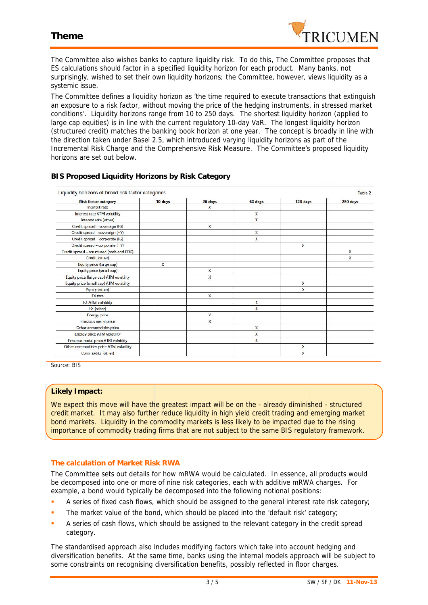# **Theme**



| The Committee also wishes banks to capture liquidity risk. To do this, The Committee proposes that<br>ES calculations should factor in a specified liquidity horizon for each product. Many banks, not<br>surprisingly, wished to set their own liquidity horizons; the Committee, however, views liquidity as a<br>systemic issue.                                                                                                                                                                                                                                                                                                                                                                                                                                                                                                                                                                                                                                       |         |         |              |          |                        |
|---------------------------------------------------------------------------------------------------------------------------------------------------------------------------------------------------------------------------------------------------------------------------------------------------------------------------------------------------------------------------------------------------------------------------------------------------------------------------------------------------------------------------------------------------------------------------------------------------------------------------------------------------------------------------------------------------------------------------------------------------------------------------------------------------------------------------------------------------------------------------------------------------------------------------------------------------------------------------|---------|---------|--------------|----------|------------------------|
| The Committee defines a liquidity horizon as 'the time required to execute transactions that extinguish<br>an exposure to a risk factor, without moving the price of the hedging instruments, in stressed market<br>conditions'. Liquidity horizons range from 10 to 250 days. The shortest liquidity horizon (applied to<br>large cap equities) is in line with the current regulatory 10-day VaR. The longest liquidity horizon<br>(structured credit) matches the banking book horizon at one year. The concept is broadly in line with<br>the direction taken under Basel 2.5, which introduced varying liquidity horizons as part of the<br>Incremental Risk Charge and the Comprehensive Risk Measure. The Committee's proposed liquidity<br>horizons are set out below.                                                                                                                                                                                            |         |         |              |          |                        |
| BIS Proposed Liquidity Horizons by Risk Category                                                                                                                                                                                                                                                                                                                                                                                                                                                                                                                                                                                                                                                                                                                                                                                                                                                                                                                          |         |         |              |          |                        |
| Liquidity horizons of broad risk factor categories<br><b>Risk factor category</b>                                                                                                                                                                                                                                                                                                                                                                                                                                                                                                                                                                                                                                                                                                                                                                                                                                                                                         | 10 days | 20 days | 60 days      | 120 days | Table 2<br>250 days    |
| Interest rate                                                                                                                                                                                                                                                                                                                                                                                                                                                                                                                                                                                                                                                                                                                                                                                                                                                                                                                                                             |         | χ       |              |          |                        |
| Interest rate ATM volatility                                                                                                                                                                                                                                                                                                                                                                                                                                                                                                                                                                                                                                                                                                                                                                                                                                                                                                                                              |         |         | χ<br>X       |          |                        |
| Interest rate (other)<br>Credit spread - sovereign (IG)                                                                                                                                                                                                                                                                                                                                                                                                                                                                                                                                                                                                                                                                                                                                                                                                                                                                                                                   |         | X       |              |          |                        |
| Credit spread - sovereign (HY)                                                                                                                                                                                                                                                                                                                                                                                                                                                                                                                                                                                                                                                                                                                                                                                                                                                                                                                                            |         |         | $\mathsf{x}$ |          |                        |
| Credit spread corporate (IG)                                                                                                                                                                                                                                                                                                                                                                                                                                                                                                                                                                                                                                                                                                                                                                                                                                                                                                                                              |         |         | X            |          |                        |
| Credit spread - corporate (HY)<br>Credit spread - structured (cash and CDS)                                                                                                                                                                                                                                                                                                                                                                                                                                                                                                                                                                                                                                                                                                                                                                                                                                                                                               |         |         |              | x        |                        |
| Credit (other)                                                                                                                                                                                                                                                                                                                                                                                                                                                                                                                                                                                                                                                                                                                                                                                                                                                                                                                                                            |         |         |              |          | X<br>X                 |
| Equity price (large cap)                                                                                                                                                                                                                                                                                                                                                                                                                                                                                                                                                                                                                                                                                                                                                                                                                                                                                                                                                  | X       |         |              |          |                        |
| Equity price (small cap)                                                                                                                                                                                                                                                                                                                                                                                                                                                                                                                                                                                                                                                                                                                                                                                                                                                                                                                                                  |         | X       |              |          |                        |
| Equity price (large cap) ATM volatility                                                                                                                                                                                                                                                                                                                                                                                                                                                                                                                                                                                                                                                                                                                                                                                                                                                                                                                                   |         | Χ       |              | Χ        |                        |
| Equity price (small cap) ATM volatility<br>Equity (other)                                                                                                                                                                                                                                                                                                                                                                                                                                                                                                                                                                                                                                                                                                                                                                                                                                                                                                                 |         |         |              | X        |                        |
| <b>FX</b> rate                                                                                                                                                                                                                                                                                                                                                                                                                                                                                                                                                                                                                                                                                                                                                                                                                                                                                                                                                            |         | χ       |              |          |                        |
| <b>FX ATM volatility</b>                                                                                                                                                                                                                                                                                                                                                                                                                                                                                                                                                                                                                                                                                                                                                                                                                                                                                                                                                  |         |         | χ            |          |                        |
| <b>FX</b> (other)                                                                                                                                                                                                                                                                                                                                                                                                                                                                                                                                                                                                                                                                                                                                                                                                                                                                                                                                                         |         | X       | X            |          |                        |
| <b>Energy price</b><br>Precious metal price                                                                                                                                                                                                                                                                                                                                                                                                                                                                                                                                                                                                                                                                                                                                                                                                                                                                                                                               |         | X       |              |          |                        |
| Other commodities price                                                                                                                                                                                                                                                                                                                                                                                                                                                                                                                                                                                                                                                                                                                                                                                                                                                                                                                                                   |         |         | χ            |          |                        |
| <b>Energy price ATM volatility</b>                                                                                                                                                                                                                                                                                                                                                                                                                                                                                                                                                                                                                                                                                                                                                                                                                                                                                                                                        |         |         | χ            |          |                        |
| <b>Precious metal price ATM volatility</b>                                                                                                                                                                                                                                                                                                                                                                                                                                                                                                                                                                                                                                                                                                                                                                                                                                                                                                                                |         |         | χ            |          |                        |
| Other commodities price ATM volatility<br>Commodity (other)                                                                                                                                                                                                                                                                                                                                                                                                                                                                                                                                                                                                                                                                                                                                                                                                                                                                                                               |         |         |              | X<br>x   |                        |
| Source: BIS                                                                                                                                                                                                                                                                                                                                                                                                                                                                                                                                                                                                                                                                                                                                                                                                                                                                                                                                                               |         |         |              |          |                        |
| Likely Impact:<br>We expect this move will have the greatest impact will be on the - already diminished - structured<br>credit market. It may also further reduce liquidity in high yield credit trading and emerging market<br>bond markets. Liquidity in the commodity markets is less likely to be impacted due to the rising<br>importance of commodity trading firms that are not subject to the same BIS regulatory framework.                                                                                                                                                                                                                                                                                                                                                                                                                                                                                                                                      |         |         |              |          |                        |
| The calculation of Market Risk RWA<br>The Committee sets out details for how mRWA would be calculated. In essence, all products would<br>be decomposed into one or more of nine risk categories, each with additive mRWA charges. For<br>example, a bond would typically be decomposed into the following notional positions:<br>A series of fixed cash flows, which should be assigned to the general interest rate risk category;<br>٠<br>The market value of the bond, which should be placed into the 'default risk' category;<br>٠<br>A series of cash flows, which should be assigned to the relevant category in the credit spread<br>٠<br>category.<br>The standardised approach also includes modifying factors which take into account hedging and<br>diversification benefits. At the same time, banks using the internal models approach will be subject to<br>some constraints on recognising diversification benefits, possibly reflected in floor charges. |         |         |              |          |                        |
|                                                                                                                                                                                                                                                                                                                                                                                                                                                                                                                                                                                                                                                                                                                                                                                                                                                                                                                                                                           |         | 3/5     |              |          | SW / SF / DK 11-Nov-13 |

### **BIS Proposed Liquidity Horizons by Risk Category**

### **Likely Impact:**

## **The calculation of Market Risk RWA Risk RWA**

The Committee sets out details for how mRWA would be calculated. In essence, all products would be decomposed into one or more of nine risk categories, each with additive mRWA charges. For be decomposed into one or more of nine risk categories, each with additive mRWA charges<br>example, a bond would typically be decomposed into the following notional positions:

- **A** series of fixed cash flows, which should be assigned to the general interest rate risk category;
- The market value of the bond, which should be placed into the 'default risk' category;
- **A** series of cash flows, which should be assigned to the relevant category in the credit spread category.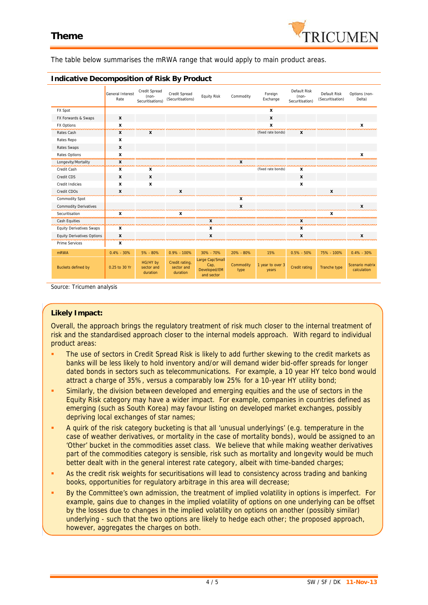

The table below summarises the mRWA range that would apply to main product areas.

|                                                       | General Interest<br>Rate | Credit Spread<br>(non-<br>Securitisations) | Credit Spread<br>(Securitisations)       | <b>Equity Risk</b>                                    | Commodity         | Foreign<br>Exchange       | Default Risk<br>(non-<br>Securitisation) | Default Risk<br>(Securitisation) | Options (non-<br>Delta)        |
|-------------------------------------------------------|--------------------------|--------------------------------------------|------------------------------------------|-------------------------------------------------------|-------------------|---------------------------|------------------------------------------|----------------------------------|--------------------------------|
| FX Spot                                               |                          |                                            |                                          |                                                       |                   | X                         |                                          |                                  |                                |
| FX Forwards & Swaps                                   | X                        |                                            |                                          |                                                       |                   | X                         |                                          |                                  |                                |
| <b>FX Options</b>                                     | x                        |                                            |                                          |                                                       |                   | X                         |                                          |                                  |                                |
| Rates Cash                                            | x                        | x                                          |                                          |                                                       |                   | (fixed rate bonds)        | x                                        |                                  |                                |
| Rates Repo                                            | x                        |                                            |                                          |                                                       |                   |                           |                                          |                                  |                                |
| Rates Swaps                                           | $\mathbf{x}$             |                                            |                                          |                                                       |                   |                           |                                          |                                  |                                |
| Rates Options                                         | X                        |                                            |                                          |                                                       |                   |                           |                                          |                                  |                                |
| Longevity/Mortality                                   | X                        |                                            |                                          |                                                       | х                 |                           |                                          |                                  |                                |
| Credit Cash                                           | x                        | х                                          |                                          |                                                       |                   | (fixed rate bonds)        | х                                        |                                  |                                |
| Credit CDS                                            | X                        | X                                          |                                          |                                                       |                   |                           | $\boldsymbol{x}$                         |                                  |                                |
| Credit Indicies                                       | x                        | x                                          |                                          |                                                       |                   |                           | x                                        |                                  |                                |
| Credit CDOs<br>ومحاولات والمحاولات والمحاولات         | X                        |                                            | x                                        |                                                       |                   |                           |                                          | x                                |                                |
| <b>Commodity Spot</b>                                 |                          |                                            |                                          |                                                       | x                 |                           |                                          |                                  |                                |
| <b>Commodity Derivatives</b>                          |                          |                                            |                                          |                                                       | X                 |                           |                                          |                                  |                                |
| Securitisation<br>,,,,,,,,,,,,,,,,,,,,,,,,,,,,,,,,,,, | x                        |                                            |                                          |                                                       |                   |                           |                                          |                                  |                                |
| Cash Equities                                         |                          |                                            |                                          | x                                                     |                   |                           | X                                        |                                  |                                |
| <b>Equity Derivatives Swaps</b>                       | X                        |                                            |                                          | x                                                     |                   |                           | x                                        |                                  |                                |
| <b>Equity Derivatives Options</b>                     | X<br>,,,,,,,,            |                                            |                                          | x                                                     |                   |                           | x                                        |                                  |                                |
| Prime Services                                        | X                        |                                            |                                          |                                                       |                   |                           |                                          |                                  |                                |
| mRWA                                                  | $0.4\% - 30\%$           | 5% - 80%                                   | $0.9\% - 100\%$                          | 30% - 70%                                             | 20% - 80%         | 15%                       | $0.5\% - 50\%$                           | 75% - 100%                       | $0.4\% - 30\%$                 |
| Buckets defined by                                    | 0.25 to 30 Yr            | HG/HY by<br>sector and<br>duration         | Credit rating,<br>sector and<br>duration | Large Cap/Small<br>Cap,<br>Developed/EM<br>and sector | Commodity<br>type | 1 year to over 3<br>years | Credit rating                            | Tranche type                     | Scenario matrix<br>calculation |

### **Indicative Decomposition of Risk By Product**

*Source: Tricumen analysis*

### **Likely Impact:**

Overall, the approach brings the regulatory treatment of risk much closer to the internal treatment of risk and the standardised approach closer to the internal models approach. With regard to individual product areas:

- The use of sectors in Credit Spread Risk is likely to add further skewing to the credit markets as banks will be less likely to hold inventory and/or will demand wider bid-offer spreads for longer dated bonds in sectors such as telecommunications. For example, a 10 year HY telco bond would attract a charge of 35%, versus a comparably low 25% for a 10-year HY utility bond;
- Similarly, the division between developed and emerging equities and the use of sectors in the Equity Risk category may have a wider impact. For example, companies in countries defined as emerging (such as South Korea) may favour listing on developed market exchanges, possibly depriving local exchanges of star names;
- A quirk of the risk category bucketing is that all 'unusual underlyings' (e.g. temperature in the case of weather derivatives, or mortality in the case of mortality bonds), would be assigned to an 'Other' bucket in the commodities asset class. We believe that while making weather derivatives part of the commodities category is sensible, risk such as mortality and longevity would be much better dealt with in the general interest rate category, albeit with time-banded charges;
- As the credit risk weights for securitisations will lead to consistency across trading and banking books, opportunities for regulatory arbitrage in this area will decrease;
- By the Committee's own admission, the treatment of implied volatility in options is imperfect. For example, gains due to changes in the implied volatility of options on one underlying can be offset by the losses due to changes in the implied volatility on options on another (possibly similar) underlying - such that the two options are likely to hedge each other; the proposed approach, however, aggregates the charges on both.